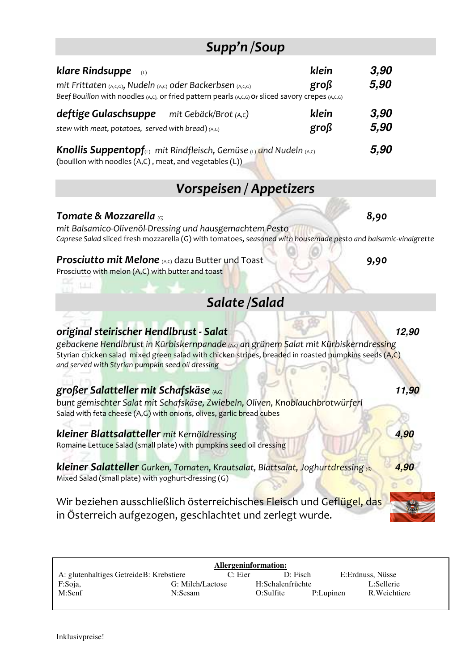# *Supp'n /Soup*

| klare Rindsuppe<br>(L)                                                                                                                                           | klein                    | 3,90         |
|------------------------------------------------------------------------------------------------------------------------------------------------------------------|--------------------------|--------------|
| mit Frittaten (A,c,G), Nudeln (A,c) oder Backerbsen (A,c,G)<br>Beef Bouillon with noodles (A,C), or fried pattern pearls (A,C,G) or sliced savory crepes (A,C,G) | $gr\sigma\beta$          | 5,90         |
| deftige Gulaschsuppe<br>mit Gebäck/Brot (A,c)<br>stew with meat, potatoes, served with bread) $(A, G)$                                                           | klein<br>$gr\sigma\beta$ | 3,90<br>5,90 |
| <b>Knollis Suppentopf</b> (1) mit Rindfleisch, Gemüse (1) und Nudeln (A,c)<br>(bouillon with noodles (A,C), meat, and vegetables (L))                            |                          | 5,90         |

# *Vorspeisen / Appetizers*

#### *Tomate & Mozzarella (G) 8,90*

*mit Balsamico-Olivenöl-Dressing und hausgemachtem Pesto Caprese Salad* sliced fresh mozzarella (G) with tomatoes**,** *seasoned with housemade pesto and balsamic-vinaigrette* 

**Prosciutto mit Melone** (A,c) dazu Butter und Toast **19,90 9,90** Prosciutto with melon (A,C) with butter and toast

# *Salate /Salad*

#### *original steirischer Hendlbrust - Salat* **12,90**

*gebackene Hendlbrust in Kürbiskernpanade (A,C) an grünem Salat mit Kürbiskerndressing*  Styrian chicken salad mixed green salad with chicken stripes, breaded in roasted pumpkins seeds (A,C) *and served with Styrian pumpkin seed oil dressing*

## *großer Salatteller mit Schafskäse (A,G)* **11,90**

*bunt gemischter Salat mit Schafskäse, Zwiebeln, Oliven, Knoblauchbrotwürferl*  Salad with feta cheese (A,G) with onions, olives, garlic bread cubes

*kleiner Blattsalatteller mit Kernöldressing* **4,90**

Romaine Lettuce Salad (small plate) with pumpkins seed oil dressing

*kleiner Salatteller Gurken, Tomaten, Krautsalat, Blattsalat, Joghurtdressing* **6 4,90** Mixed Salad (small plate) with yoghurt-dressing (G)

Wir beziehen ausschließlich österreichisches Fleisch und Geflügel, das in Österreich aufgezogen, geschlachtet und zerlegt wurde.

| Allergeninformation:                     |                  |                  |                            |  |  |
|------------------------------------------|------------------|------------------|----------------------------|--|--|
| A: glutenhaltiges Getreide B: Krebstiere | C: Eier          | $D:$ Fisch       | E:Erdnuss, Nüsse           |  |  |
| F:Soja,                                  | G: Milch/Lactose | H:Schalenfrüchte | L:Sellerie                 |  |  |
| M:Senf                                   | N:Sesam          | $O:$ Sulfite     | R. Weichtiere<br>P:Lupinen |  |  |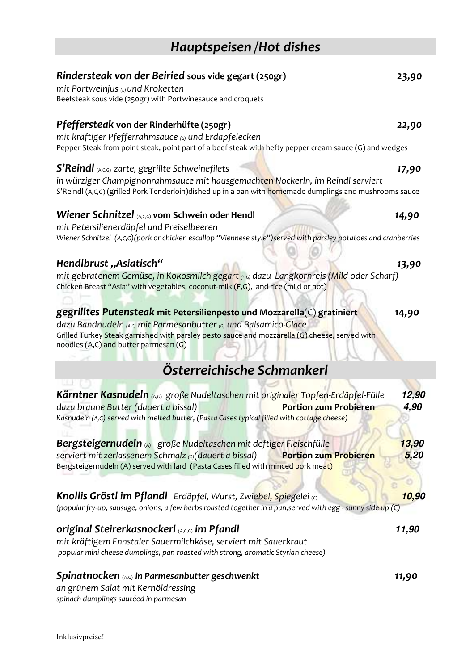# *Hauptspeisen /Hot dishes*

| Rindersteak von der Beiried sous vide gegart (250gr)                                                                                                                                        | 23,90 |
|---------------------------------------------------------------------------------------------------------------------------------------------------------------------------------------------|-------|
| mit Portweinjus $\omega$ und Kroketten                                                                                                                                                      |       |
| Beefsteak sous vide (250gr) with Portwinesauce and croquets                                                                                                                                 |       |
| Pfeffersteak von der Rinderhüfte (250gr)                                                                                                                                                    | 22,90 |
| mit kräftiger Pfefferrahmsauce (G) und Erdäpfelecken                                                                                                                                        |       |
| Pepper Steak from point steak, point part of a beef steak with hefty pepper cream sauce (G) and wedges                                                                                      |       |
| S'Reindl (A,C,G) zarte, gegrillte Schweinefilets                                                                                                                                            | 17,90 |
| in würziger Champignonrahmsauce mit hausgemachten Nockerln, im Reindl serviert<br>S'Reindl (A,C,G) (grilled Pork Tenderloin) dished up in a pan with homemade dumplings and mushrooms sauce |       |
| Wiener Schnitzel (A,C,G) vom Schwein oder Hendl                                                                                                                                             | 14,90 |
| mit Petersilienerdäpfel und Preiselbeeren                                                                                                                                                   |       |
| Wiener Schnitzel (A,C,G)(pork or chicken escallop "Viennese style")served with parsley potatoes and cranberries                                                                             |       |
| Hendlbrust "Asiatisch"                                                                                                                                                                      | 13,90 |
| mit gebratenem Gemüse, in Kokosmilch gegart (F,G) dazu Langkornreis (Mild oder Scharf)                                                                                                      |       |
| Chicken Breast "Asia" with vegetables, coconut-milk (F,G), and rice (mild or hot)                                                                                                           |       |
| gegrilltes Putensteak mit Petersilienpesto und Mozzarella(C) gratiniert                                                                                                                     | 14,90 |
| dazu Bandnudeln (A,c) mit Parmesanbutter (c) und Balsamico-Glace                                                                                                                            |       |
| Grilled Turkey Steak garnished with parsley pesto sauce and mozzarella (G) cheese, served with<br>noodles (A,C) and butter parmesan (G)                                                     |       |
| Österreichische Schmankerl                                                                                                                                                                  |       |
|                                                                                                                                                                                             |       |
| <b>Kärntner Kasnudeln</b> (A,G) große Nudeltaschen mit originaler Topfen-Erdäpfel-Fülle                                                                                                     | 12,90 |
| dazu braune Butter (dauert a bissal)<br><b>Portion zum Probieren</b><br>Kasnudeln (A,G) served with melted butter, (Pasta Cases typical filled with cottage cheese)                         | 4,90  |
| Bergsteigernudeln (A) große Nudeltaschen mit deftiger Fleischfülle                                                                                                                          | 13,90 |
| serviert mit zerlassenem Schmalz (G) (dauert a bissal)<br><b>Portion zum Probieren</b>                                                                                                      | 5,20  |
| Bergsteigernudeln (A) served with lard (Pasta Cases filled with minced pork meat)                                                                                                           |       |
| Knollis Gröstl im Pflandl Erdäpfel, Wurst, Zwiebel, Spiegelei (c)                                                                                                                           | 10,90 |
| (popular fry-up, sausage, onions, a few herbs roasted together in a pan, served with egg - sunny side up (C)                                                                                |       |
| <b>original Steirerkasnockerl (A,C,G) im Pfandl</b>                                                                                                                                         | 11,90 |
| mit kräftigem Ennstaler Sauermilchkäse, serviert mit Sauerkraut                                                                                                                             |       |
| popular mini cheese dumplings, pan-roasted with strong, aromatic Styrian cheese)                                                                                                            |       |
| ${\sf Spindtnocken}$ $_{(A,G)}$ in Parmesanbutter geschwenkt                                                                                                                                | 11,90 |
| an grünem Salat mit Kernöldressing                                                                                                                                                          |       |
| spinach dumplings sautéed in parmesan                                                                                                                                                       |       |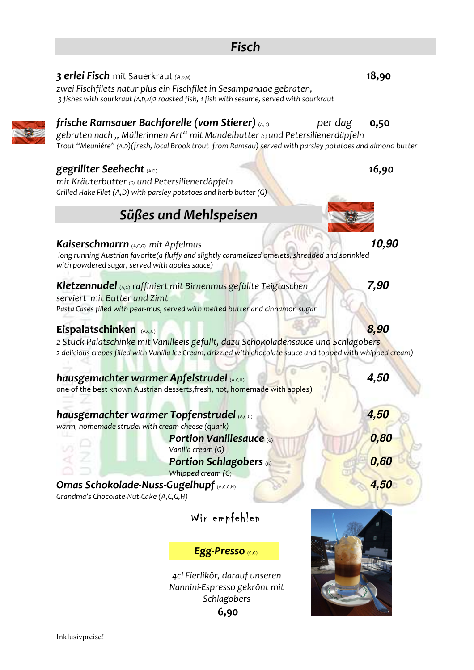# *Fisch*